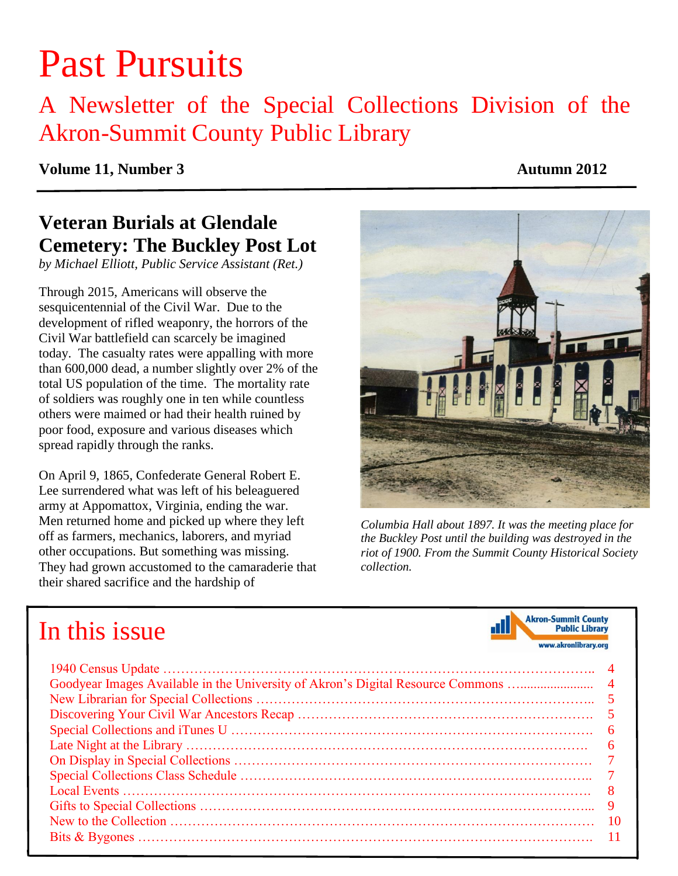# Past Pursuits

## A Newsletter of the Special Collections Division of the Akron-Summit County Public Library

#### **Volume 11, Number 3 Autumn 2012**

### **Veteran Burials at Glendale Cemetery: The Buckley Post Lot**

*by Michael Elliott, Public Service Assistant (Ret.)*

Through 2015, Americans will observe the sesquicentennial of the Civil War. Due to the development of rifled weaponry, the horrors of the Civil War battlefield can scarcely be imagined today. The casualty rates were appalling with more than 600,000 dead, a number slightly over 2% of the total US population of the time. The mortality rate of soldiers was roughly one in ten while countless others were maimed or had their health ruined by poor food, exposure and various diseases which spread rapidly through the ranks.

On April 9, 1865, Confederate General Robert E. Lee surrendered what was left of his beleaguered army at Appomattox, Virginia, ending the war. Men returned home and picked up where they left off as farmers, mechanics, laborers, and myriad other occupations. But something was missing. They had grown accustomed to the camaraderie that their shared sacrifice and the hardship of



 *the Buckley Post until the building was destroyed in the riot of 1900. From the Summit County Historical Society Columbia Hall about 1897. It was the meeting place for collection.*

| In this issue | <b>Akron-Summit County</b><br><b>Public Library</b><br>www.akronlibrary.org |
|---------------|-----------------------------------------------------------------------------|
|               |                                                                             |
|               |                                                                             |
|               | -5                                                                          |
|               | 5                                                                           |
|               |                                                                             |
|               | 6                                                                           |
|               |                                                                             |
|               |                                                                             |
|               | 8                                                                           |
|               | 9                                                                           |
|               | 10                                                                          |
|               |                                                                             |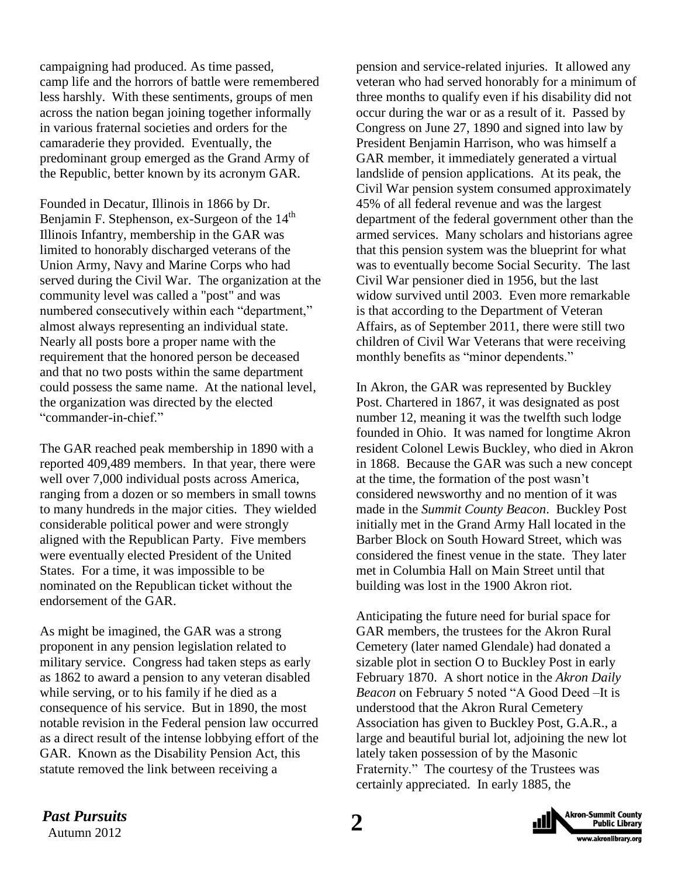campaigning had produced. As time passed, camp life and the horrors of battle were remembered less harshly. With these sentiments, groups of men across the nation began joining together informally in various fraternal societies and orders for the camaraderie they provided. Eventually, the predominant group emerged as the Grand Army of the Republic, better known by its acronym GAR.

Founded in Decatur, Illinois in 1866 by Dr. Benjamin F. Stephenson, ex-Surgeon of the 14<sup>th</sup> Illinois Infantry, membership in the GAR was limited to honorably discharged veterans of the Union Army, Navy and Marine Corps who had served during the Civil War. The organization at the community level was called a "post" and was numbered consecutively within each "department," almost always representing an individual state. Nearly all posts bore a proper name with the requirement that the honored person be deceased and that no two posts within the same department could possess the same name. At the national level, the organization was directed by the elected "commander-in-chief."

The GAR reached peak membership in 1890 with a reported 409,489 members. In that year, there were well over 7,000 individual posts across America, ranging from a dozen or so members in small towns to many hundreds in the major cities. They wielded considerable political power and were strongly aligned with the Republican Party. Five members were eventually elected President of the United States. For a time, it was impossible to be nominated on the Republican ticket without the endorsement of the GAR.

As might be imagined, the GAR was a strong proponent in any pension legislation related to military service. Congress had taken steps as early as 1862 to award a pension to any veteran disabled while serving, or to his family if he died as a consequence of his service. But in 1890, the most notable revision in the Federal pension law occurred as a direct result of the intense lobbying effort of the GAR. Known as the Disability Pension Act, this statute removed the link between receiving a

pension and service-related injuries. It allowed any veteran who had served honorably for a minimum of three months to qualify even if his disability did not occur during the war or as a result of it. Passed by Congress on June 27, 1890 and signed into law by President Benjamin Harrison, who was himself a GAR member, it immediately generated a virtual landslide of pension applications. At its peak, the Civil War pension system consumed approximately 45% of all federal revenue and was the largest department of the federal government other than the armed services. Many scholars and historians agree that this pension system was the blueprint for what was to eventually become Social Security. The last Civil War pensioner died in 1956, but the last widow survived until 2003. Even more remarkable is that according to the Department of Veteran Affairs, as of September 2011, there were still two children of Civil War Veterans that were receiving monthly benefits as "minor dependents."

In Akron, the GAR was represented by Buckley Post. Chartered in 1867, it was designated as post number 12, meaning it was the twelfth such lodge founded in Ohio. It was named for longtime Akron resident Colonel Lewis Buckley, who died in Akron in 1868. Because the GAR was such a new concept at the time, the formation of the post wasn't considered newsworthy and no mention of it was made in the *Summit County Beacon*. Buckley Post initially met in the Grand Army Hall located in the Barber Block on South Howard Street, which was considered the finest venue in the state. They later met in Columbia Hall on Main Street until that building was lost in the 1900 Akron riot.

Anticipating the future need for burial space for GAR members, the trustees for the Akron Rural Cemetery (later named Glendale) had donated a sizable plot in section O to Buckley Post in early February 1870. A short notice in the *Akron Daily Beacon* on February 5 noted "A Good Deed –It is understood that the Akron Rural Cemetery Association has given to Buckley Post, G.A.R., a large and beautiful burial lot, adjoining the new lot lately taken possession of by the Masonic Fraternity." The courtesy of the Trustees was certainly appreciated. In early 1885, the

*Past Pursuits* 2

Autumn 2012

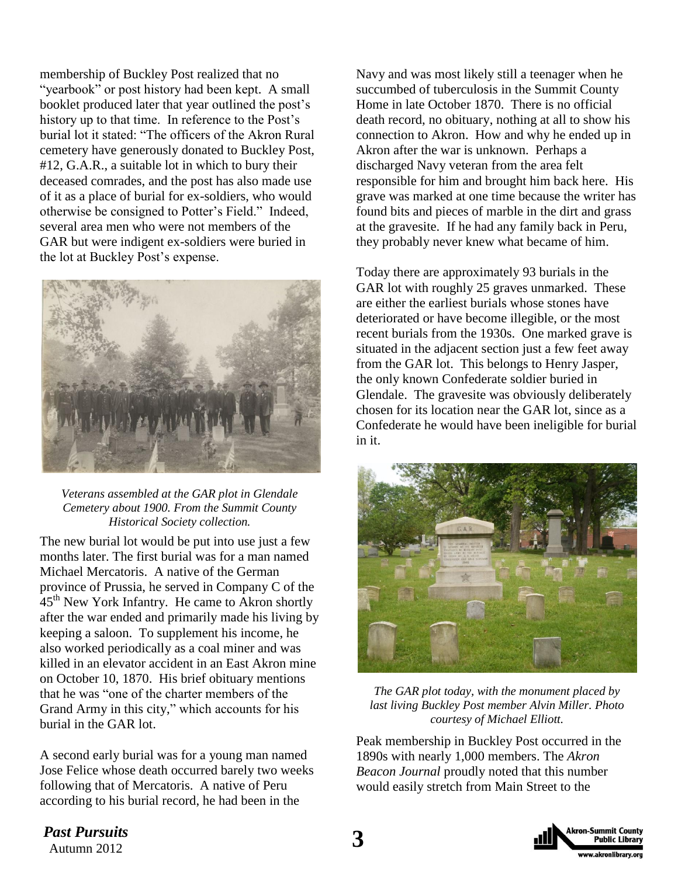membership of Buckley Post realized that no "yearbook" or post history had been kept. A small booklet produced later that year outlined the post's history up to that time. In reference to the Post's burial lot it stated: "The officers of the Akron Rural cemetery have generously donated to Buckley Post, #12, G.A.R., a suitable lot in which to bury their deceased comrades, and the post has also made use of it as a place of burial for ex-soldiers, who would otherwise be consigned to Potter's Field." Indeed, several area men who were not members of the GAR but were indigent ex-soldiers were buried in the lot at Buckley Post's expense.



*Veterans assembled at the GAR plot in Glendale Cemetery about 1900. From the Summit County Historical Society collection.*

The new burial lot would be put into use just a few months later. The first burial was for a man named Michael Mercatoris. A native of the German province of Prussia, he served in Company C of the 45<sup>th</sup> New York Infantry. He came to Akron shortly after the war ended and primarily made his living by keeping a saloon. To supplement his income, he also worked periodically as a coal miner and was killed in an elevator accident in an East Akron mine on October 10, 1870. His brief obituary mentions that he was "one of the charter members of the Grand Army in this city," which accounts for his burial in the GAR lot.

A second early burial was for a young man named Jose Felice whose death occurred barely two weeks following that of Mercatoris. A native of Peru according to his burial record, he had been in the

Navy and was most likely still a teenager when he succumbed of tuberculosis in the Summit County Home in late October 1870. There is no official death record, no obituary, nothing at all to show his connection to Akron. How and why he ended up in Akron after the war is unknown. Perhaps a discharged Navy veteran from the area felt responsible for him and brought him back here. His grave was marked at one time because the writer has found bits and pieces of marble in the dirt and grass at the gravesite. If he had any family back in Peru, they probably never knew what became of him.

Today there are approximately 93 burials in the GAR lot with roughly 25 graves unmarked. These are either the earliest burials whose stones have deteriorated or have become illegible, or the most recent burials from the 1930s. One marked grave is situated in the adjacent section just a few feet away from the GAR lot. This belongs to Henry Jasper, the only known Confederate soldier buried in Glendale. The gravesite was obviously deliberately chosen for its location near the GAR lot, since as a Confederate he would have been ineligible for burial in it.



*The GAR plot today, with the monument placed by last living Buckley Post member Alvin Miller. Photo courtesy of Michael Elliott.*

Peak membership in Buckley Post occurred in the 1890s with nearly 1,000 members. The *Akron Beacon Journal* proudly noted that this number would easily stretch from Main Street to the

**Past Pursuits**<br>Autumn 2012 *Past Pursuits*

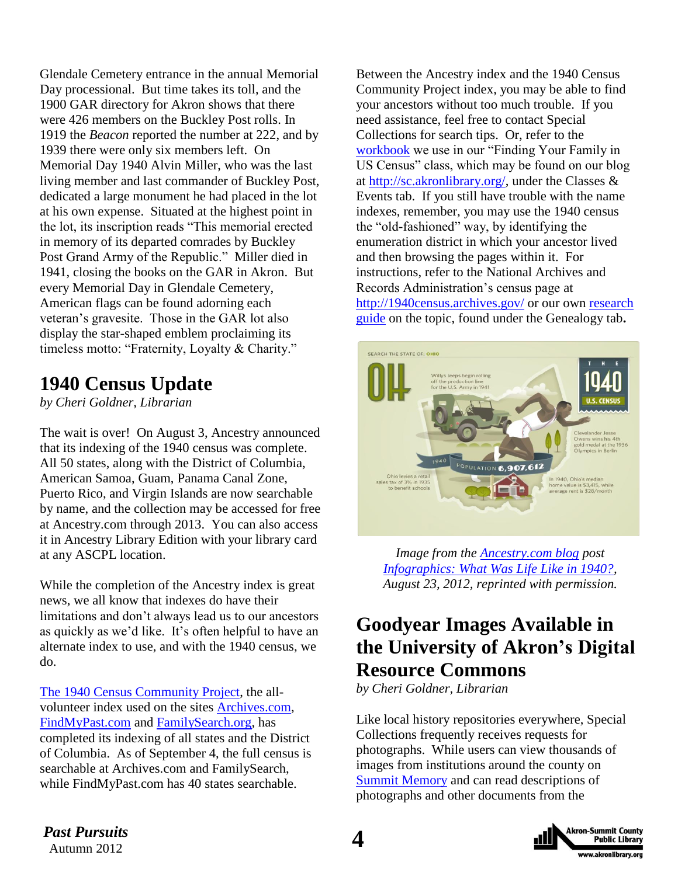Glendale Cemetery entrance in the annual Memorial Day processional. But time takes its toll, and the 1900 GAR directory for Akron shows that there were 426 members on the Buckley Post rolls. In 1919 the *Beacon* reported the number at 222, and by 1939 there were only six members left. On Memorial Day 1940 Alvin Miller, who was the last living member and last commander of Buckley Post, dedicated a large monument he had placed in the lot at his own expense. Situated at the highest point in the lot, its inscription reads "This memorial erected in memory of its departed comrades by Buckley Post Grand Army of the Republic." Miller died in 1941, closing the books on the GAR in Akron. But every Memorial Day in Glendale Cemetery, American flags can be found adorning each veteran's gravesite. Those in the GAR lot also display the star-shaped emblem proclaiming its timeless motto: "Fraternity, Loyalty & Charity."

### **1940 Census Update**

*by Cheri Goldner, Librarian*

The wait is over! On August 3, Ancestry announced that its indexing of the 1940 census was complete. All 50 states, along with the District of Columbia, American Samoa, Guam, Panama Canal Zone, Puerto Rico, and Virgin Islands are now searchable by name, and the collection may be accessed for free at Ancestry.com through 2013. You can also access it in Ancestry Library Edition with your library card at any ASCPL location.

While the completion of the Ancestry index is great news, we all know that indexes do have their limitations and don't always lead us to our ancestors as quickly as we'd like. It's often helpful to have an alternate index to use, and with the 1940 census, we do.

[The 1940 Census Community Project,](https://the1940census.com/) the allvolunteer index used on the sites [Archives.com,](http://www.archives.com/) [FindMyPast.com](http://www.findmypast.com/) and [FamilySearch.org,](https://familysearch.org/) has completed its indexing of all states and the District of Columbia. As of September 4, the full census is searchable at Archives.com and FamilySearch, while FindMyPast.com has 40 states searchable.

Between the Ancestry index and the 1940 Census Community Project index, you may be able to find your ancestors without too much trouble. If you need assistance, feel free to contact Special Collections for search tips. Or, refer to the [workbook](http://sc.akronlibrary.org/files/2012/03/workbook-5.pdf) we use in our "Finding Your Family in US Census" class, which may be found on our blog at [http://sc.akronlibrary.org/,](http://sc.akronlibrary.org/) under the Classes  $\&$ Events tab. If you still have trouble with the name indexes, remember, you may use the 1940 census the "old-fashioned" way, by identifying the enumeration district in which your ancestor lived and then browsing the pages within it. For instructions, refer to the National Archives and Records Administration's census page at <http://1940census.archives.gov/> or our own [research](http://sc.akronlibrary.org/files/2012/04/1940_census.pdf)  [guide](http://sc.akronlibrary.org/files/2012/04/1940_census.pdf) on the topic, found under the Genealogy tab**.**



*Image from the [Ancestry.com blog](http://blogs.ancestry.com/ancestry/) post [Infographics: What Was Life Like in 1940?,](http://blogs.ancestry.com/ancestry/2012/08/23/infographics-what-was-life-like-in-1940/) August 23, 2012, reprinted with permission.*

### **Goodyear Images Available in the University of Akron's Digital Resource Commons**

*by Cheri Goldner, Librarian*

Like local history repositories everywhere, Special Collections frequently receives requests for photographs. While users can view thousands of images from institutions around the county on [Summit Memory](http://www.summitmemory.org/) and can read descriptions of photographs and other documents from the



*Past Pursuits* 4 *Past Pursuits*

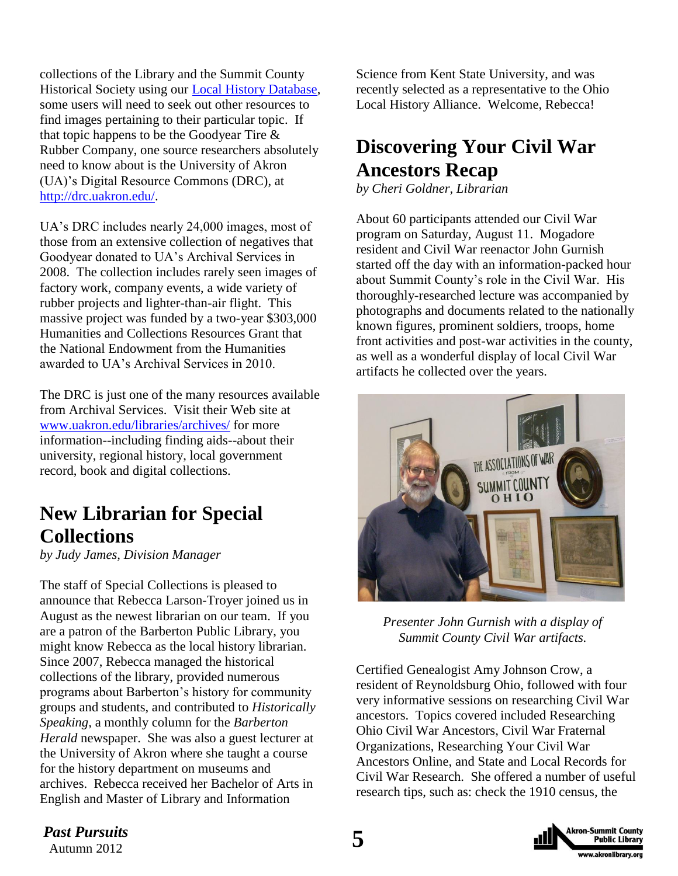collections of the Library and the Summit County Historical Society using our [Local History Database,](http://www.akronlibrary.org/DBS/SpecColldbO/Default.aspx) some users will need to seek out other resources to find images pertaining to their particular topic. If that topic happens to be the Goodyear Tire & Rubber Company, one source researchers absolutely need to know about is the University of Akron (UA)'s Digital Resource Commons (DRC), at [http://drc.uakron.edu/.](http://drc.uakron.edu/)

UA's DRC includes nearly 24,000 images, most of those from an extensive collection of negatives that Goodyear donated to UA's Archival Services in 2008. The collection includes rarely seen images of factory work, company events, a wide variety of rubber projects and lighter-than-air flight. This massive project was funded by a two-year \$303,000 Humanities and Collections Resources Grant that the National Endowment from the Humanities awarded to UA's Archival Services in 2010.

The DRC is just one of the many resources available from Archival Services. Visit their Web site at [www.uakron.edu/libraries/archives/](http://www.uakron.edu/libraries/archives/) for more information--including finding aids--about their university, regional history, local government record, book and digital collections.

### **New Librarian for Special Collections**

*by Judy James, Division Manager*

The staff of Special Collections is pleased to announce that Rebecca Larson-Troyer joined us in August as the newest librarian on our team. If you are a patron of the Barberton Public Library, you might know Rebecca as the local history librarian. Since 2007, Rebecca managed the historical collections of the library, provided numerous programs about Barberton's history for community groups and students, and contributed to *Historically Speaking,* a monthly column for the *Barberton Herald* newspaper. She was also a guest lecturer at the University of Akron where she taught a course for the history department on museums and archives. Rebecca received her Bachelor of Arts in English and Master of Library and Information

Science from Kent State University, and was recently selected as a representative to the Ohio Local History Alliance. Welcome, Rebecca!

## **Discovering Your Civil War Ancestors Recap**

*by Cheri Goldner, Librarian*

About 60 participants attended our Civil War program on Saturday, August 11. Mogadore resident and Civil War reenactor John Gurnish started off the day with an information-packed hour about Summit County's role in the Civil War. His thoroughly-researched lecture was accompanied by photographs and documents related to the nationally known figures, prominent soldiers, troops, home front activities and post-war activities in the county, as well as a wonderful display of local Civil War artifacts he collected over the years.



*Presenter John Gurnish with a display of Summit County Civil War artifacts.*

Certified Genealogist Amy Johnson Crow, a resident of Reynoldsburg Ohio, followed with four very informative sessions on researching Civil War ancestors. Topics covered included Researching Ohio Civil War Ancestors, Civil War Fraternal Organizations, Researching Your Civil War Ancestors Online, and State and Local Records for Civil War Research. She offered a number of useful research tips, such as: check the 1910 census, the

*Past Pursuits*<br>Autumn 2012 *Past Pursuits*

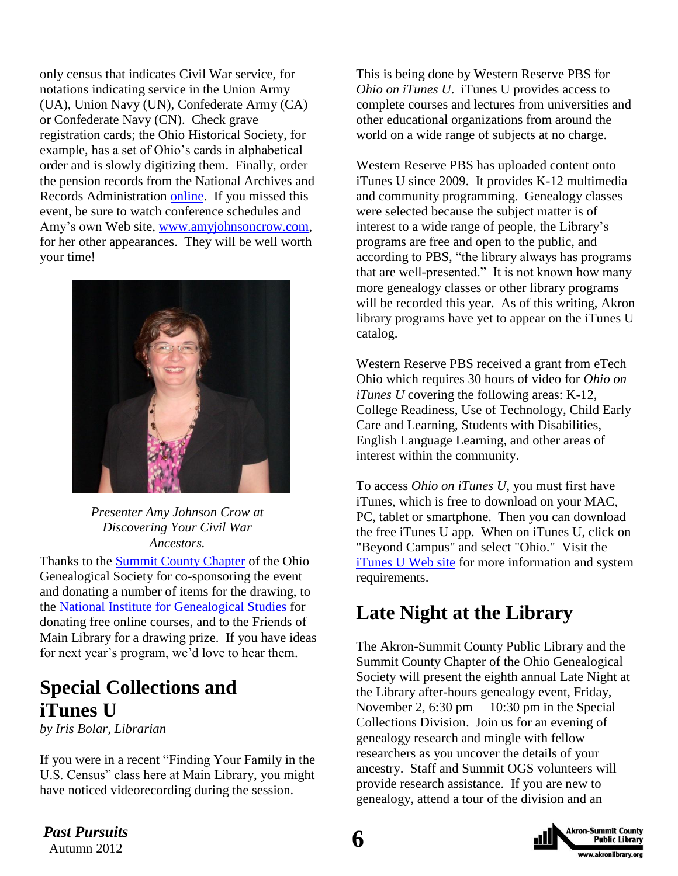only census that indicates Civil War service, for notations indicating service in the Union Army (UA), Union Navy (UN), Confederate Army (CA) or Confederate Navy (CN). Check grave registration cards; the Ohio Historical Society, for example, has a set of Ohio's cards in alphabetical order and is slowly digitizing them. Finally, order the pension records from the National Archives and Records Administration [online.](https://eservices.archives.gov/orderonline/start.swe?SWECmd=Start&SWEHo=eservices.archives.gov) If you missed this event, be sure to watch conference schedules and Amy's own Web site, [www.amyjohnsoncrow.com,](http://www.amyjohnsoncrow.com/) for her other appearances. They will be well worth your time!



*Presenter Amy Johnson Crow at Discovering Your Civil War Ancestors.*

Thanks to the **Summit County Chapter** of the Ohio Genealogical Society for co-sponsoring the event and donating a number of items for the drawing, to the [National Institute for Genealogical Studies](http://www.genealogicalstudies.com/) for donating free online courses, and to the Friends of Main Library for a drawing prize. If you have ideas for next year's program, we'd love to hear them.

### **Special Collections and iTunes U**

*by Iris Bolar, Librarian*

If you were in a recent "Finding Your Family in the U.S. Census" class here at Main Library, you might have noticed videorecording during the session.

This is being done by Western Reserve PBS for *Ohio on iTunes U*. iTunes U provides access to complete courses and lectures from universities and other educational organizations from around the world on a wide range of subjects at no charge.

Western Reserve PBS has uploaded content onto iTunes U since 2009. It provides K-12 multimedia and community programming. Genealogy classes were selected because the subject matter is of interest to a wide range of people, the Library's programs are free and open to the public, and according to PBS, "the library always has programs that are well-presented." It is not known how many more genealogy classes or other library programs will be recorded this year. As of this writing, Akron library programs have yet to appear on the iTunes U catalog.

Western Reserve PBS received a grant from eTech Ohio which requires 30 hours of video for *Ohio on iTunes U* covering the following areas: K-12, College Readiness, Use of Technology, Child Early Care and Learning, Students with Disabilities, English Language Learning, and other areas of interest within the community.

To access *Ohio on iTunes U*, you must first have iTunes, which is free to download on your MAC, PC, tablet or smartphone. Then you can download the free iTunes U app. When on iTunes U, click on "Beyond Campus" and select "Ohio." Visit the [iTunes U Web](http://itunes.apple.com/us/app/itunes-u/id490217893?mt=8) site for more information and system requirements.

### **Late Night at the Library**

The Akron-Summit County Public Library and the Summit County Chapter of the Ohio Genealogical Society will present the eighth annual Late Night at the Library after-hours genealogy event, Friday, November 2, 6:30 pm  $-10:30$  pm in the Special Collections Division. Join us for an evening of genealogy research and mingle with fellow researchers as you uncover the details of your ancestry. Staff and Summit OGS volunteers will provide research assistance. If you are new to genealogy, attend a tour of the division and an

> **Akron-Summit County Public Library** ww.akronlibrary.org

*Past Pursuits* 6 *Past Pursuits*

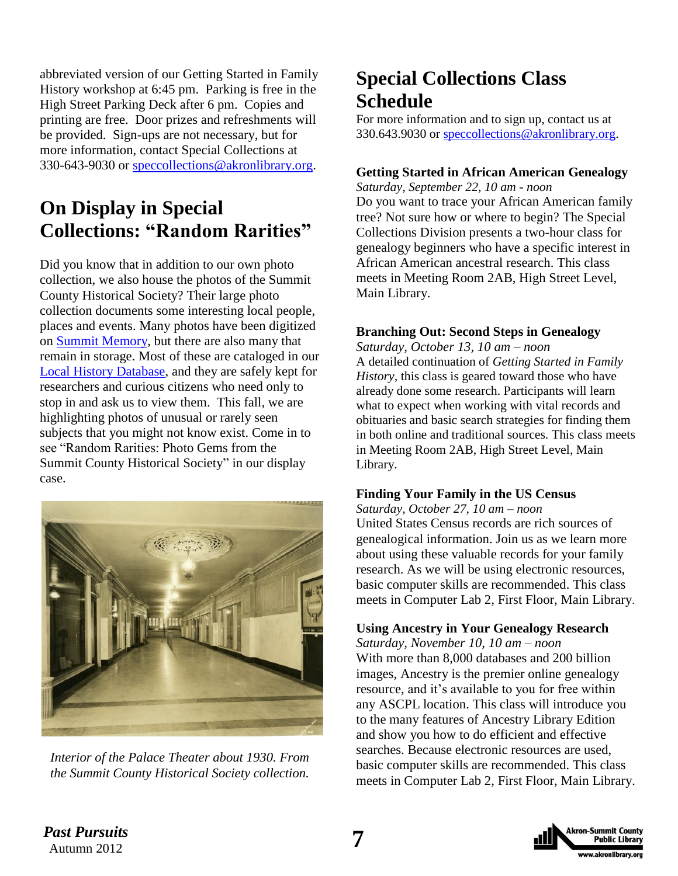abbreviated version of our Getting Started in Family History workshop at 6:45 pm. Parking is free in the High Street Parking Deck after 6 pm. Copies and printing are free. Door prizes and refreshments will be provided. Sign-ups are not necessary, but for more information, contact Special Collections at 330-643-9030 or [speccollections@akronlibrary.org.](mailto:speccollections@akronlibrary.org)

### **On Display in Special Collections: "Random Rarities"**

Did you know that in addition to our own photo collection, we also house the photos of the Summit County Historical Society? Their large photo collection documents some interesting local people, places and events. Many photos have been digitized on [Summit Memory,](http://www.summitmemory.org/) but there are also many that remain in storage. Most of these are cataloged in our [Local History Database,](http://www.akronlibrary.org/DBS/SpecColldbO/Default.aspx) and they are safely kept for researchers and curious citizens who need only to stop in and ask us to view them. This fall, we are highlighting photos of unusual or rarely seen subjects that you might not know exist. Come in to see "Random Rarities: Photo Gems from the Summit County Historical Society" in our display case.



*Interior of the Palace Theater about 1930. From the Summit County Historical Society collection.*

### **Special Collections Class Schedule**

For more information and to sign up, contact us at 330.643.9030 or [speccollections@akronlibrary.org.](mailto:speccollections@akronlibrary.org)

#### **Getting Started in African American Genealogy**

*Saturday, September 22, 10 am - noon*  Do you want to trace your African American family tree? Not sure how or where to begin? The Special Collections Division presents a two-hour class for genealogy beginners who have a specific interest in African American ancestral research. This class meets in Meeting Room 2AB, High Street Level, Main Library.

#### **Branching Out: Second Steps in Genealogy**

*Saturday, October 13, 10 am – noon*  A detailed continuation of *Getting Started in Family History,* this class is geared toward those who have already done some research. Participants will learn what to expect when working with vital records and obituaries and basic search strategies for finding them in both online and traditional sources. This class meets in Meeting Room 2AB, High Street Level, Main Library.

#### **Finding Your Family in the US Census**

*Saturday, October 27, 10 am – noon* United States Census records are rich sources of genealogical information. Join us as we learn more about using these valuable records for your family research. As we will be using electronic resources, basic computer skills are recommended. This class meets in Computer Lab 2, First Floor, Main Library.

#### **Using Ancestry in Your Genealogy Research**

*Saturday, November 10, 10 am – noon*  With more than 8,000 databases and 200 billion images, Ancestry is the premier online genealogy resource, and it's available to you for free within any ASCPL location. This class will introduce you to the many features of Ancestry Library Edition and show you how to do efficient and effective searches. Because electronic resources are used, basic computer skills are recommended. This class meets in Computer Lab 2, First Floor, Main Library.



*Past Pursuits* **7**<br>Autumn 2012 *Past Pursuits*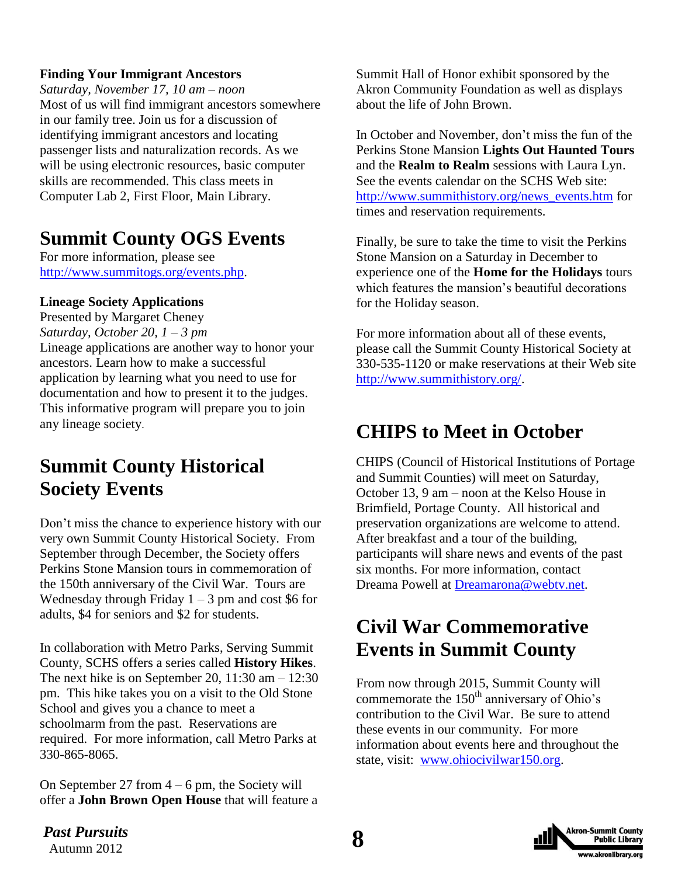#### **Finding Your Immigrant Ancestors**

*Saturday, November 17, 10 am – noon*  Most of us will find immigrant ancestors somewhere in our family tree. Join us for a discussion of identifying immigrant ancestors and locating passenger lists and naturalization records. As we will be using electronic resources, basic computer skills are recommended. This class meets in Computer Lab 2, First Floor, Main Library.

### **Summit County OGS Events**

For more information, please see [http://www.summitogs.org/events.php.](http://www.summitogs.org/events.php)

#### **Lineage Society Applications**

Presented by Margaret Cheney *Saturday, October 20, 1 – 3 pm* Lineage applications are another way to honor your ancestors. Learn how to make a successful application by learning what you need to use for documentation and how to present it to the judges. This informative program will prepare you to join any lineage society.

### **Summit County Historical Society Events**

Don't miss the chance to experience history with our very own Summit County Historical Society. From September through December, the Society offers Perkins Stone Mansion tours in commemoration of the 150th anniversary of the Civil War. Tours are Wednesday through Friday  $1 - 3$  pm and cost \$6 for adults, \$4 for seniors and \$2 for students.

In collaboration with Metro Parks, Serving Summit County, SCHS offers a series called **History Hikes**. The next hike is on September 20,  $11:30$  am  $-12:30$ pm. This hike takes you on a visit to the Old Stone School and gives you a chance to meet a schoolmarm from the past. Reservations are required. For more information, call Metro Parks at 330-865-8065.

On September 27 from  $4 - 6$  pm, the Society will offer a **John Brown Open House** that will feature a Summit Hall of Honor exhibit sponsored by the Akron Community Foundation as well as displays about the life of John Brown.

In October and November, don't miss the fun of the Perkins Stone Mansion **Lights Out Haunted Tours** and the **Realm to Realm** sessions with Laura Lyn. See the events calendar on the SCHS Web site: [http://www.summithistory.org/news\\_events.htm](http://www.summithistory.org/news_events.htm) for times and reservation requirements.

Finally, be sure to take the time to visit the Perkins Stone Mansion on a Saturday in December to experience one of the **Home for the Holidays** tours which features the mansion's beautiful decorations for the Holiday season.

For more information about all of these events, please call the Summit County Historical Society at 330-535-1120 or make reservations at their Web site [http://www.summithistory.org/.](http://www.summithistory.org/)

### **CHIPS to Meet in October**

CHIPS (Council of Historical Institutions of Portage and Summit Counties) will meet on Saturday, October 13, 9 am – noon at the Kelso House in Brimfield, Portage County. All historical and preservation organizations are welcome to attend. After breakfast and a tour of the building, participants will share news and events of the past six months. For more information, contact Dreama Powell at [Dreamarona@webtv.net.](mailto:Dreamarona@webtv.net)

### **Civil War Commemorative Events in Summit County**

From now through 2015, Summit County will commemorate the  $150<sup>th</sup>$  anniversary of Ohio's contribution to the Civil War. Be sure to attend these events in our community. For more information about events here and throughout the state, visit: [www.ohiocivilwar150.org.](http://www.ohiocivilwar150.org/)

**Past Pursuits**<br>Autumn 2012 *Past Pursuits*



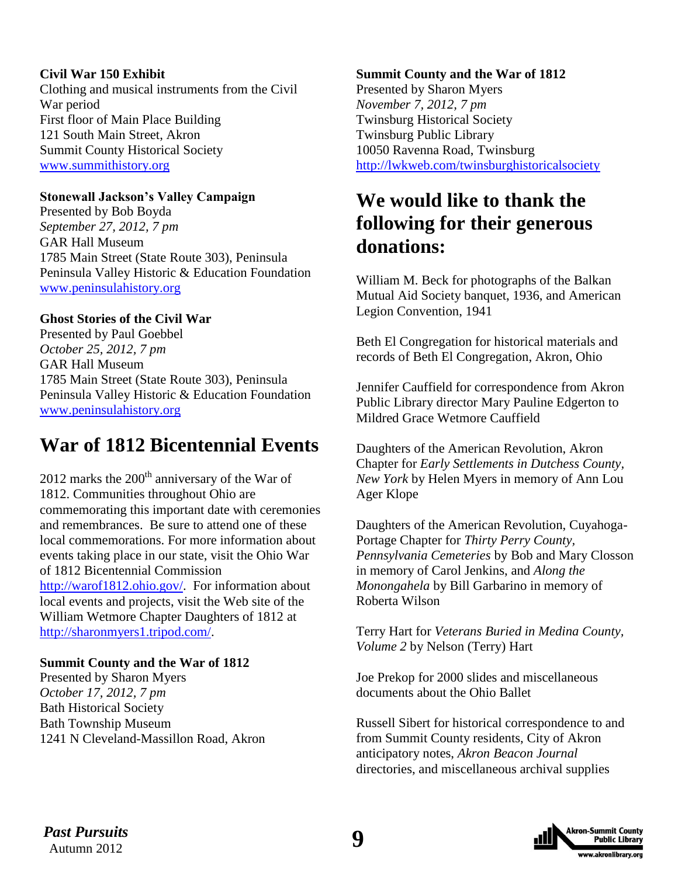#### **Civil War 150 Exhibit**

Clothing and musical instruments from the Civil War period First floor of Main Place Building 121 South Main Street, Akron Summit County Historical Society [www.summithistory.org](http://www.summithistory.org/)

#### **Stonewall Jackson's Valley Campaign**

Presented by Bob Boyda *September 27, 2012, 7 pm* GAR Hall Museum 1785 Main Street (State Route 303), Peninsula Peninsula Valley Historic & Education Foundation [www.peninsulahistory.org](http://www.peninsulahistory.org/)

#### **Ghost Stories of the Civil War**

Presented by Paul Goebbel *October 25, 2012, 7 pm* GAR Hall Museum 1785 Main Street (State Route 303), Peninsula Peninsula Valley Historic & Education Foundation [www.peninsulahistory.org](http://www.peninsulahistory.org/)

### **War of 1812 Bicentennial Events**

 $2012$  marks the  $200<sup>th</sup>$  anniversary of the War of 1812. Communities throughout Ohio are commemorating this important date with ceremonies and remembrances. Be sure to attend one of these local commemorations. For more information about events taking place in our state, visit the Ohio War of 1812 Bicentennial Commission [http://warof1812.ohio.gov/.](http://warof1812.ohio.gov/) For information about local events and projects, visit the Web site of the William Wetmore Chapter Daughters of 1812 at [http://sharonmyers1.tripod.com/.](http://sharonmyers1.tripod.com/)

#### **Summit County and the War of 1812**

Presented by Sharon Myers *October 17, 2012, 7 pm* Bath Historical Society Bath Township Museum 1241 N Cleveland-Massillon Road, Akron

#### **Summit County and the War of 1812**

Presented by Sharon Myers *November 7, 2012, 7 pm* Twinsburg Historical Society Twinsburg Public Library 10050 Ravenna Road, Twinsburg <http://lwkweb.com/twinsburghistoricalsociety>

### **We would like to thank the following for their generous donations:**

William M. Beck for photographs of the Balkan Mutual Aid Society banquet, 1936, and American Legion Convention, 1941

Beth El Congregation for historical materials and records of Beth El Congregation, Akron, Ohio

Jennifer Cauffield for correspondence from Akron Public Library director Mary Pauline Edgerton to Mildred Grace Wetmore Cauffield

Daughters of the American Revolution, Akron Chapter for *Early Settlements in Dutchess County, New York* by Helen Myers in memory of Ann Lou Ager Klope

Daughters of the American Revolution, Cuyahoga-Portage Chapter for *Thirty Perry County, Pennsylvania Cemeteries* by Bob and Mary Closson in memory of Carol Jenkins, and *Along the Monongahela* by Bill Garbarino in memory of Roberta Wilson

Terry Hart for *Veterans Buried in Medina County, Volume 2* by Nelson (Terry) Hart

Joe Prekop for 2000 slides and miscellaneous documents about the Ohio Ballet

Russell Sibert for historical correspondence to and from Summit County residents, City of Akron anticipatory notes, *Akron Beacon Journal*  directories, and miscellaneous archival supplies



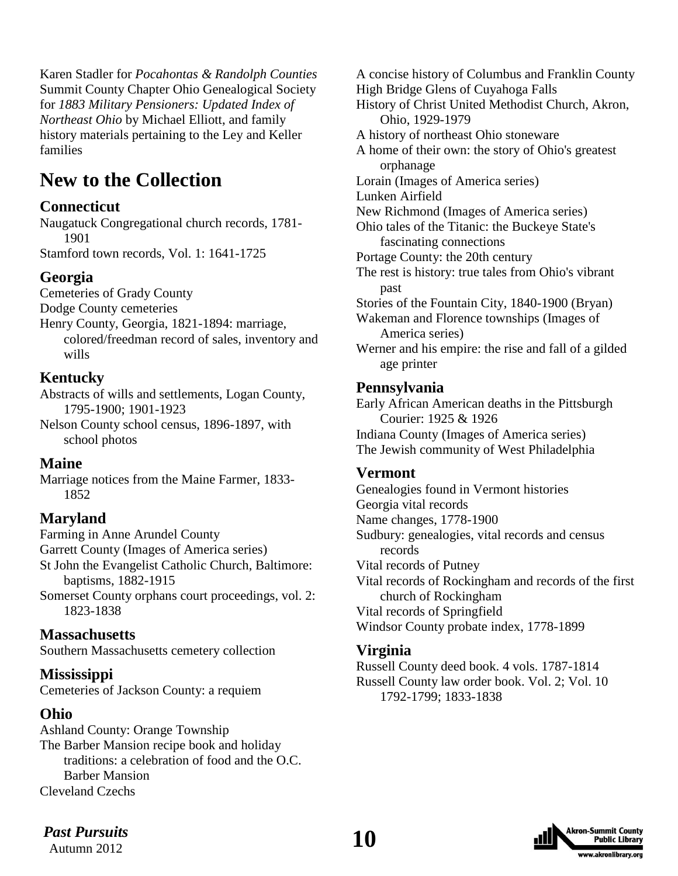Karen Stadler for *Pocahontas & Randolph Counties* Summit County Chapter Ohio Genealogical Society for *1883 Military Pensioners: Updated Index of Northeast Ohio* by Michael Elliott, and family history materials pertaining to the Ley and Keller families

### **New to the Collection**

#### **Connecticut**

Naugatuck Congregational church records, 1781- 1901

Stamford town records, Vol. 1: 1641-1725

#### **Georgia**

Cemeteries of Grady County

Dodge County cemeteries

Henry County, Georgia, 1821-1894: marriage, colored/freedman record of sales, inventory and wills

#### **Kentucky**

Abstracts of wills and settlements, Logan County, 1795-1900; 1901-1923

Nelson County school census, 1896-1897, with school photos

#### **Maine**

Marriage notices from the Maine Farmer, 1833- 1852

#### **Maryland**

Farming in Anne Arundel County Garrett County (Images of America series) St John the Evangelist Catholic Church, Baltimore: baptisms, 1882-1915 Somerset County orphans court proceedings, vol. 2:

1823-1838

#### **Massachusetts**

Southern Massachusetts cemetery collection

#### **Mississippi**

Cemeteries of Jackson County: a requiem

#### **Ohio**

Ashland County: Orange Township The Barber Mansion recipe book and holiday traditions: a celebration of food and the O.C. Barber Mansion Cleveland Czechs

A concise history of Columbus and Franklin County High Bridge Glens of Cuyahoga Falls History of Christ United Methodist Church, Akron, Ohio, 1929-1979 A history of northeast Ohio stoneware A home of their own: the story of Ohio's greatest orphanage Lorain (Images of America series) Lunken Airfield New Richmond (Images of America series) Ohio tales of the Titanic: the Buckeye State's fascinating connections Portage County: the 20th century The rest is history: true tales from Ohio's vibrant past Stories of the Fountain City, 1840-1900 (Bryan) Wakeman and Florence townships (Images of America series) Werner and his empire: the rise and fall of a gilded age printer

#### **Pennsylvania**

Early African American deaths in the Pittsburgh Courier: 1925 & 1926 Indiana County (Images of America series) The Jewish community of West Philadelphia

#### **Vermont**

Genealogies found in Vermont histories Georgia vital records Name changes, 1778-1900 Sudbury: genealogies, vital records and census records Vital records of Putney Vital records of Rockingham and records of the first church of Rockingham Vital records of Springfield Windsor County probate index, 1778-1899

#### **Virginia**

Russell County deed book. 4 vols. 1787-1814 Russell County law order book. Vol. 2; Vol. 10 1792-1799; 1833-1838



*Past Pursuits* **10** Autumn 2012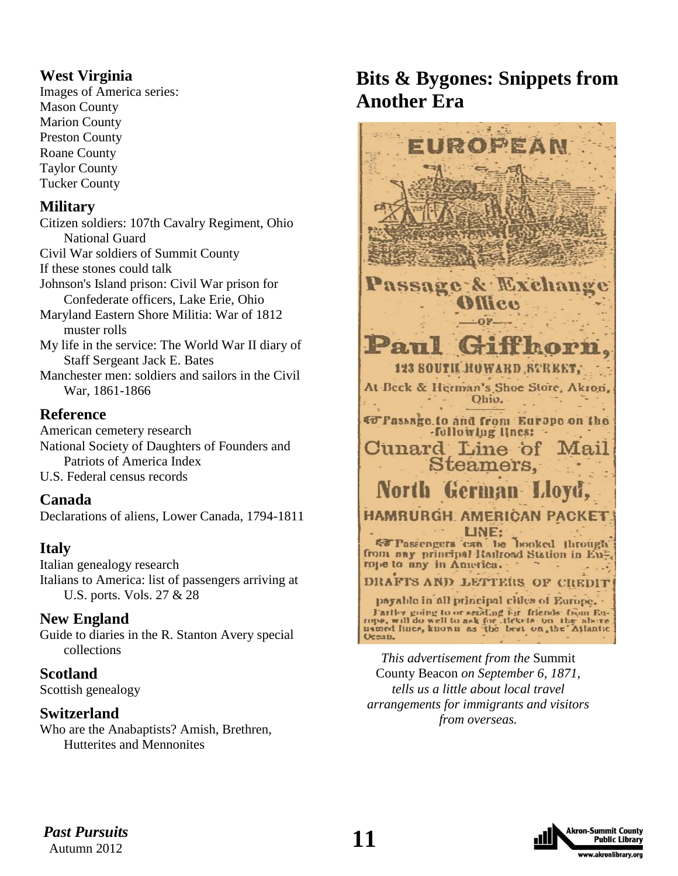### **West Virginia**

Images of America series: Mason County Marion County Preston County Roane County Taylor County Tucker County

#### **Military**

Citizen soldiers: 107th Cavalry Regiment, Ohio National Guard Civil War soldiers of Summit County If these stones could talk Johnson's Island prison: Civil War prison for Confederate officers, Lake Erie, Ohio Maryland Eastern Shore Militia: War of 1812 muster rolls My life in the service: The World War II diary of Staff Sergeant Jack E. Bates Manchester men: soldiers and sailors in the Civil

War, 1861-1866

#### **Reference**

American cemetery research National Society of Daughters of Founders and Patriots of America Index U.S. Federal census records

#### **Canada**

Declarations of aliens, Lower Canada, 1794-1811

#### **Italy**

Italian genealogy research Italians to America: list of passengers arriving at U.S. ports. Vols. 27 & 28

#### **New England**

Guide to diaries in the R. Stanton Avery special collections

#### **Scotland**

Scottish genealogy

#### **Switzerland**

Who are the Anabaptists? Amish, Brethren, Hutterites and Mennonites

### **Bits & Bygones: Snippets from Another Era**



*This advertisement from the* Summit County Beacon *on September 6, 1871, tells us a little about local travel arrangements for immigrants and visitors from overseas.*